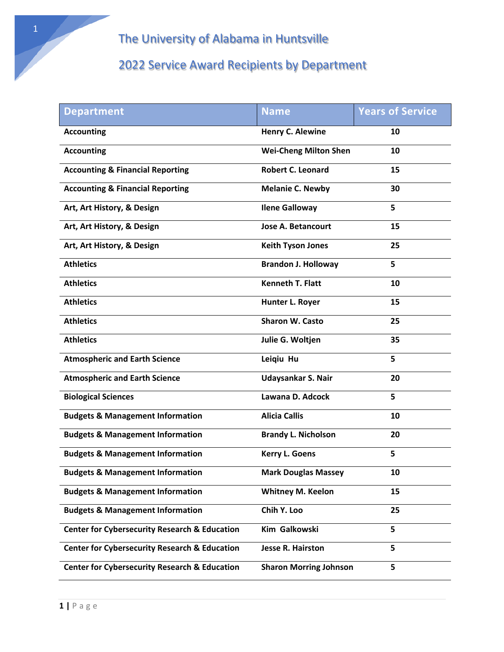| <b>Department</b>                                        | <b>Name</b>                   | <b>Years of Service</b> |
|----------------------------------------------------------|-------------------------------|-------------------------|
| <b>Accounting</b>                                        | <b>Henry C. Alewine</b>       | 10                      |
| <b>Accounting</b>                                        | <b>Wei-Cheng Milton Shen</b>  | 10                      |
| <b>Accounting &amp; Financial Reporting</b>              | <b>Robert C. Leonard</b>      | 15                      |
| <b>Accounting &amp; Financial Reporting</b>              | <b>Melanie C. Newby</b>       | 30                      |
| Art, Art History, & Design                               | <b>Ilene Galloway</b>         | 5                       |
| Art, Art History, & Design                               | <b>Jose A. Betancourt</b>     | 15                      |
| Art, Art History, & Design                               | <b>Keith Tyson Jones</b>      | 25                      |
| <b>Athletics</b>                                         | <b>Brandon J. Holloway</b>    | 5                       |
| <b>Athletics</b>                                         | <b>Kenneth T. Flatt</b>       | 10                      |
| <b>Athletics</b>                                         | Hunter L. Royer               | 15                      |
| <b>Athletics</b>                                         | <b>Sharon W. Casto</b>        | 25                      |
| <b>Athletics</b>                                         | Julie G. Woltjen              | 35                      |
| <b>Atmospheric and Earth Science</b>                     | Leigiu Hu                     | 5                       |
| <b>Atmospheric and Earth Science</b>                     | Udaysankar S. Nair            | 20                      |
| <b>Biological Sciences</b>                               | Lawana D. Adcock              | 5                       |
| <b>Budgets &amp; Management Information</b>              | <b>Alicia Callis</b>          | 10                      |
| <b>Budgets &amp; Management Information</b>              | <b>Brandy L. Nicholson</b>    | 20                      |
| <b>Budgets &amp; Management Information</b>              | <b>Kerry L. Goens</b>         | 5                       |
| <b>Budgets &amp; Management Information</b>              | <b>Mark Douglas Massey</b>    | 10                      |
| <b>Budgets &amp; Management Information</b>              | <b>Whitney M. Keelon</b>      | 15                      |
| <b>Budgets &amp; Management Information</b>              | Chih Y. Loo                   | 25                      |
| <b>Center for Cybersecurity Research &amp; Education</b> | Kim Galkowski                 | 5                       |
| <b>Center for Cybersecurity Research &amp; Education</b> | <b>Jesse R. Hairston</b>      | 5                       |
| <b>Center for Cybersecurity Research &amp; Education</b> | <b>Sharon Morring Johnson</b> | 5                       |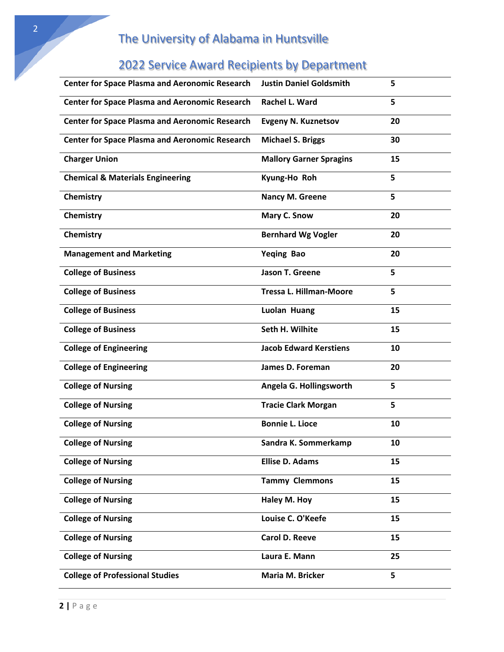|  |  |  | <b>2022 Service Award Recipients by Department</b> |
|--|--|--|----------------------------------------------------|
|--|--|--|----------------------------------------------------|

| <b>Center for Space Plasma and Aeronomic Research</b> | <b>Justin Daniel Goldsmith</b> | 5  |
|-------------------------------------------------------|--------------------------------|----|
| <b>Center for Space Plasma and Aeronomic Research</b> | Rachel L. Ward                 | 5  |
| <b>Center for Space Plasma and Aeronomic Research</b> | <b>Evgeny N. Kuznetsov</b>     | 20 |
| <b>Center for Space Plasma and Aeronomic Research</b> | <b>Michael S. Briggs</b>       | 30 |
| <b>Charger Union</b>                                  | <b>Mallory Garner Spragins</b> | 15 |
| <b>Chemical &amp; Materials Engineering</b>           | Kyung-Ho Roh                   | 5  |
| Chemistry                                             | Nancy M. Greene                | 5  |
| Chemistry                                             | Mary C. Snow                   | 20 |
| Chemistry                                             | <b>Bernhard Wg Vogler</b>      | 20 |
| <b>Management and Marketing</b>                       | Yeqing Bao                     | 20 |
| <b>College of Business</b>                            | Jason T. Greene                | 5  |
| <b>College of Business</b>                            | <b>Tressa L. Hillman-Moore</b> | 5  |
| <b>College of Business</b>                            | Luolan Huang                   | 15 |
| <b>College of Business</b>                            | Seth H. Wilhite                | 15 |
| <b>College of Engineering</b>                         | <b>Jacob Edward Kerstiens</b>  | 10 |
| <b>College of Engineering</b>                         | James D. Foreman               | 20 |
| <b>College of Nursing</b>                             | Angela G. Hollingsworth        | 5  |
| <b>College of Nursing</b>                             | <b>Tracie Clark Morgan</b>     | 5  |
| <b>College of Nursing</b>                             | <b>Bonnie L. Lioce</b>         | 10 |
| <b>College of Nursing</b>                             | Sandra K. Sommerkamp           | 10 |
| <b>College of Nursing</b>                             | <b>Ellise D. Adams</b>         | 15 |
| <b>College of Nursing</b>                             | <b>Tammy Clemmons</b>          | 15 |
| <b>College of Nursing</b>                             | Haley M. Hoy                   | 15 |
| <b>College of Nursing</b>                             | Louise C. O'Keefe              | 15 |
| <b>College of Nursing</b>                             | <b>Carol D. Reeve</b>          | 15 |
| <b>College of Nursing</b>                             | Laura E. Mann                  | 25 |
| <b>College of Professional Studies</b>                | Maria M. Bricker               | 5  |
|                                                       |                                |    |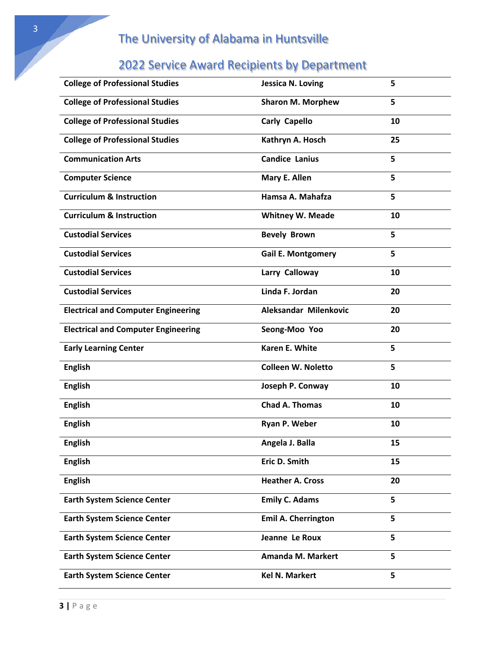| <b>College of Professional Studies</b>     | <b>Jessica N. Loving</b>   | 5  |
|--------------------------------------------|----------------------------|----|
| <b>College of Professional Studies</b>     | <b>Sharon M. Morphew</b>   | 5  |
| <b>College of Professional Studies</b>     | <b>Carly Capello</b>       | 10 |
| <b>College of Professional Studies</b>     | Kathryn A. Hosch           | 25 |
| <b>Communication Arts</b>                  | <b>Candice Lanius</b>      | 5  |
| <b>Computer Science</b>                    | Mary E. Allen              | 5  |
| <b>Curriculum &amp; Instruction</b>        | Hamsa A. Mahafza           | 5  |
| <b>Curriculum &amp; Instruction</b>        | <b>Whitney W. Meade</b>    | 10 |
| <b>Custodial Services</b>                  | <b>Bevely Brown</b>        | 5  |
| <b>Custodial Services</b>                  | <b>Gail E. Montgomery</b>  | 5  |
| <b>Custodial Services</b>                  | Larry Calloway             | 10 |
| <b>Custodial Services</b>                  | Linda F. Jordan            | 20 |
| <b>Electrical and Computer Engineering</b> | Aleksandar Milenkovic      | 20 |
| <b>Electrical and Computer Engineering</b> | Seong-Moo Yoo              | 20 |
| <b>Early Learning Center</b>               | Karen E. White             | 5  |
| <b>English</b>                             | <b>Colleen W. Noletto</b>  | 5  |
| <b>English</b>                             | Joseph P. Conway           | 10 |
| <b>English</b>                             | <b>Chad A. Thomas</b>      | 10 |
| <b>English</b>                             | Ryan P. Weber              | 10 |
| <b>English</b>                             | Angela J. Balla            | 15 |
| <b>English</b>                             | Eric D. Smith              | 15 |
| <b>English</b>                             | <b>Heather A. Cross</b>    | 20 |
| <b>Earth System Science Center</b>         | <b>Emily C. Adams</b>      | 5  |
| <b>Earth System Science Center</b>         | <b>Emil A. Cherrington</b> | 5  |
| <b>Earth System Science Center</b>         | Jeanne Le Roux             | 5  |
| <b>Earth System Science Center</b>         | Amanda M. Markert          | 5  |
| <b>Earth System Science Center</b>         | <b>Kel N. Markert</b>      | 5  |
|                                            |                            |    |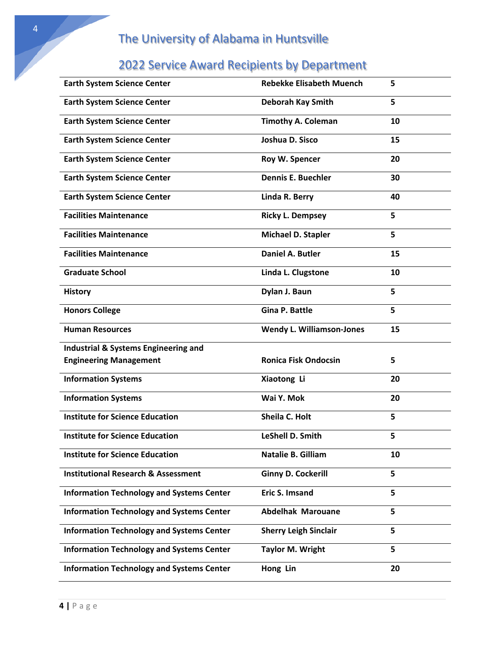| <b>Earth System Science Center</b>               | <b>Rebekke Elisabeth Muench</b>  | 5  |
|--------------------------------------------------|----------------------------------|----|
| <b>Earth System Science Center</b>               | <b>Deborah Kay Smith</b>         | 5  |
| <b>Earth System Science Center</b>               | <b>Timothy A. Coleman</b>        | 10 |
| <b>Earth System Science Center</b>               | Joshua D. Sisco                  | 15 |
| <b>Earth System Science Center</b>               | Roy W. Spencer                   | 20 |
| <b>Earth System Science Center</b>               | <b>Dennis E. Buechler</b>        | 30 |
| <b>Earth System Science Center</b>               | Linda R. Berry                   | 40 |
| <b>Facilities Maintenance</b>                    | <b>Ricky L. Dempsey</b>          | 5  |
| <b>Facilities Maintenance</b>                    | Michael D. Stapler               | 5  |
| <b>Facilities Maintenance</b>                    | <b>Daniel A. Butler</b>          | 15 |
| <b>Graduate School</b>                           | Linda L. Clugstone               | 10 |
| <b>History</b>                                   | Dylan J. Baun                    | 5  |
| <b>Honors College</b>                            | <b>Gina P. Battle</b>            | 5  |
| <b>Human Resources</b>                           | <b>Wendy L. Williamson-Jones</b> | 15 |
| <b>Industrial &amp; Systems Engineering and</b>  |                                  |    |
| <b>Engineering Management</b>                    | <b>Ronica Fisk Ondocsin</b>      | 5  |
| <b>Information Systems</b>                       | Xiaotong Li                      | 20 |
| <b>Information Systems</b>                       | Wai Y. Mok                       | 20 |
| <b>Institute for Science Education</b>           | Sheila C. Holt                   | 5  |
| <b>Institute for Science Education</b>           | <b>LeShell D. Smith</b>          | 5  |
| <b>Institute for Science Education</b>           | Natalie B. Gilliam               | 10 |
| <b>Institutional Research &amp; Assessment</b>   | <b>Ginny D. Cockerill</b>        | 5  |
| <b>Information Technology and Systems Center</b> | Eric S. Imsand                   | 5  |
| <b>Information Technology and Systems Center</b> | <b>Abdelhak Marouane</b>         | 5  |
| <b>Information Technology and Systems Center</b> | <b>Sherry Leigh Sinclair</b>     | 5  |
| <b>Information Technology and Systems Center</b> | <b>Taylor M. Wright</b>          | 5  |
| <b>Information Technology and Systems Center</b> | Hong Lin                         | 20 |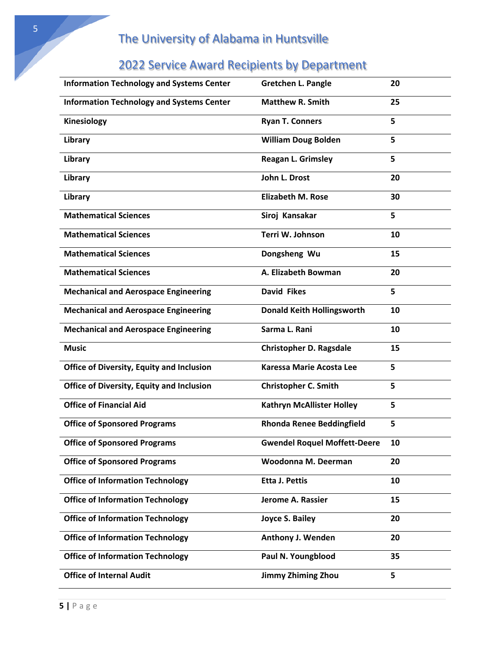| <b>Information Technology and Systems Center</b> | <b>Gretchen L. Pangle</b>           | 20 |
|--------------------------------------------------|-------------------------------------|----|
| <b>Information Technology and Systems Center</b> | <b>Matthew R. Smith</b>             | 25 |
| <b>Kinesiology</b>                               | <b>Ryan T. Conners</b>              | 5  |
| Library                                          | <b>William Doug Bolden</b>          | 5  |
| Library                                          | <b>Reagan L. Grimsley</b>           | 5  |
| Library                                          | John L. Drost                       | 20 |
| Library                                          | <b>Elizabeth M. Rose</b>            | 30 |
| <b>Mathematical Sciences</b>                     | Siroj Kansakar                      | 5  |
| <b>Mathematical Sciences</b>                     | Terri W. Johnson                    | 10 |
| <b>Mathematical Sciences</b>                     | Dongsheng Wu                        | 15 |
| <b>Mathematical Sciences</b>                     | A. Elizabeth Bowman                 | 20 |
| <b>Mechanical and Aerospace Engineering</b>      | <b>David Fikes</b>                  | 5  |
| <b>Mechanical and Aerospace Engineering</b>      | <b>Donald Keith Hollingsworth</b>   | 10 |
| <b>Mechanical and Aerospace Engineering</b>      | Sarma L. Rani                       | 10 |
| <b>Music</b>                                     | <b>Christopher D. Ragsdale</b>      | 15 |
| <b>Office of Diversity, Equity and Inclusion</b> | Karessa Marie Acosta Lee            | 5  |
| <b>Office of Diversity, Equity and Inclusion</b> | <b>Christopher C. Smith</b>         | 5  |
| <b>Office of Financial Aid</b>                   | <b>Kathryn McAllister Holley</b>    | 5  |
| <b>Office of Sponsored Programs</b>              | <b>Rhonda Renee Beddingfield</b>    | 5  |
| <b>Office of Sponsored Programs</b>              | <b>Gwendel Roquel Moffett-Deere</b> | 10 |
| <b>Office of Sponsored Programs</b>              | Woodonna M. Deerman                 | 20 |
| <b>Office of Information Technology</b>          | <b>Etta J. Pettis</b>               | 10 |
| <b>Office of Information Technology</b>          | Jerome A. Rassier                   | 15 |
| <b>Office of Information Technology</b>          | <b>Joyce S. Bailey</b>              | 20 |
| <b>Office of Information Technology</b>          | <b>Anthony J. Wenden</b>            | 20 |
| <b>Office of Information Technology</b>          | Paul N. Youngblood                  | 35 |
| <b>Office of Internal Audit</b>                  | <b>Jimmy Zhiming Zhou</b>           | 5  |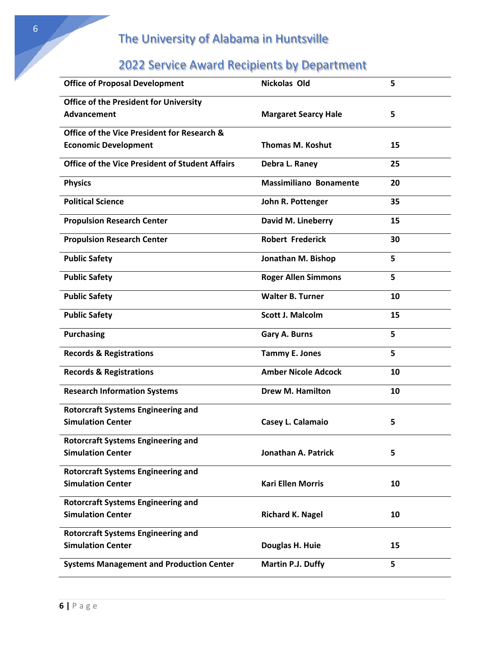| <b>Office of Proposal Development</b>                  | <b>Nickolas Old</b>           | 5  |
|--------------------------------------------------------|-------------------------------|----|
| <b>Office of the President for University</b>          |                               |    |
| Advancement                                            | <b>Margaret Searcy Hale</b>   | 5  |
| <b>Office of the Vice President for Research &amp;</b> |                               |    |
| <b>Economic Development</b>                            | <b>Thomas M. Koshut</b>       | 15 |
| <b>Office of the Vice President of Student Affairs</b> | Debra L. Raney                | 25 |
| <b>Physics</b>                                         | <b>Massimiliano Bonamente</b> | 20 |
| <b>Political Science</b>                               | John R. Pottenger             | 35 |
| <b>Propulsion Research Center</b>                      | David M. Lineberry            | 15 |
| <b>Propulsion Research Center</b>                      | <b>Robert Frederick</b>       | 30 |
| <b>Public Safety</b>                                   | Jonathan M. Bishop            | 5  |
| <b>Public Safety</b>                                   | <b>Roger Allen Simmons</b>    | 5  |
| <b>Public Safety</b>                                   | <b>Walter B. Turner</b>       | 10 |
| <b>Public Safety</b>                                   | <b>Scott J. Malcolm</b>       | 15 |
| <b>Purchasing</b>                                      | Gary A. Burns                 | 5  |
| <b>Records &amp; Registrations</b>                     | <b>Tammy E. Jones</b>         | 5  |
| <b>Records &amp; Registrations</b>                     | <b>Amber Nicole Adcock</b>    | 10 |
| <b>Research Information Systems</b>                    | <b>Drew M. Hamilton</b>       | 10 |
| <b>Rotorcraft Systems Engineering and</b>              |                               |    |
| <b>Simulation Center</b>                               | Casey L. Calamaio             | 5  |
| <b>Rotorcraft Systems Engineering and</b>              |                               |    |
| <b>Simulation Center</b>                               | Jonathan A. Patrick           | 5  |
| <b>Rotorcraft Systems Engineering and</b>              |                               |    |
| <b>Simulation Center</b>                               | <b>Kari Ellen Morris</b>      | 10 |
| <b>Rotorcraft Systems Engineering and</b>              |                               |    |
| <b>Simulation Center</b>                               | <b>Richard K. Nagel</b>       | 10 |
| <b>Rotorcraft Systems Engineering and</b>              |                               |    |
| <b>Simulation Center</b>                               | Douglas H. Huie               | 15 |
| <b>Systems Management and Production Center</b>        | Martin P.J. Duffy             | 5  |